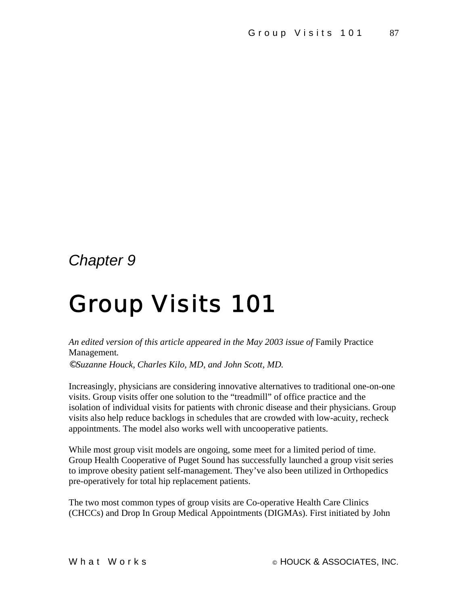## *Chapter 9*

# Group Visits 101

An edited version of this article appeared in the May 2003 issue of Family Practice Management*.* 

*©Suzanne Houck, Charles Kilo, MD, and John Scott, MD.* 

Increasingly, physicians are considering innovative alternatives to traditional one-on-one visits. Group visits offer one solution to the "treadmill" of office practice and the isolation of individual visits for patients with chronic disease and their physicians. Group visits also help reduce backlogs in schedules that are crowded with low-acuity, recheck appointments. The model also works well with uncooperative patients.

While most group visit models are ongoing, some meet for a limited period of time. Group Health Cooperative of Puget Sound has successfully launched a group visit series to improve obesity patient self-management. They've also been utilized in Orthopedics pre-operatively for total hip replacement patients.

The two most common types of group visits are Co-operative Health Care Clinics (CHCCs) and Drop In Group Medical Appointments (DIGMAs). First initiated by John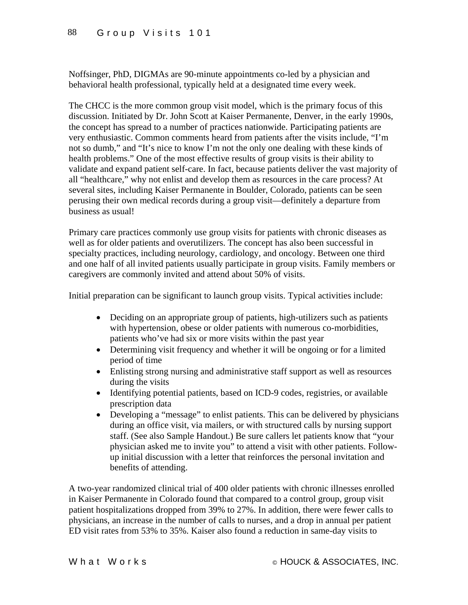Noffsinger, PhD, DIGMAs are 90-minute appointments co-led by a physician and behavioral health professional, typically held at a designated time every week.

The CHCC is the more common group visit model, which is the primary focus of this discussion. Initiated by Dr. John Scott at Kaiser Permanente, Denver, in the early 1990s, the concept has spread to a number of practices nationwide. Participating patients are very enthusiastic. Common comments heard from patients after the visits include, "I'm not so dumb," and "It's nice to know I'm not the only one dealing with these kinds of health problems." One of the most effective results of group visits is their ability to validate and expand patient self-care. In fact, because patients deliver the vast majority of all "healthcare," why not enlist and develop them as resources in the care process? At several sites, including Kaiser Permanente in Boulder, Colorado, patients can be seen perusing their own medical records during a group visit—definitely a departure from business as usual!

Primary care practices commonly use group visits for patients with chronic diseases as well as for older patients and overutilizers. The concept has also been successful in specialty practices, including neurology, cardiology, and oncology. Between one third and one half of all invited patients usually participate in group visits. Family members or caregivers are commonly invited and attend about 50% of visits.

Initial preparation can be significant to launch group visits. Typical activities include:

- Deciding on an appropriate group of patients, high-utilizers such as patients with hypertension, obese or older patients with numerous co-morbidities, patients who've had six or more visits within the past year
- Determining visit frequency and whether it will be ongoing or for a limited period of time
- Enlisting strong nursing and administrative staff support as well as resources during the visits
- Identifying potential patients, based on ICD-9 codes, registries, or available prescription data
- Developing a "message" to enlist patients. This can be delivered by physicians during an office visit, via mailers, or with structured calls by nursing support staff. (See also Sample Handout.) Be sure callers let patients know that "your physician asked me to invite you" to attend a visit with other patients. Followup initial discussion with a letter that reinforces the personal invitation and benefits of attending.

A two-year randomized clinical trial of 400 older patients with chronic illnesses enrolled in Kaiser Permanente in Colorado found that compared to a control group, group visit patient hospitalizations dropped from 39% to 27%. In addition, there were fewer calls to physicians, an increase in the number of calls to nurses, and a drop in annual per patient ED visit rates from 53% to 35%. Kaiser also found a reduction in same-day visits to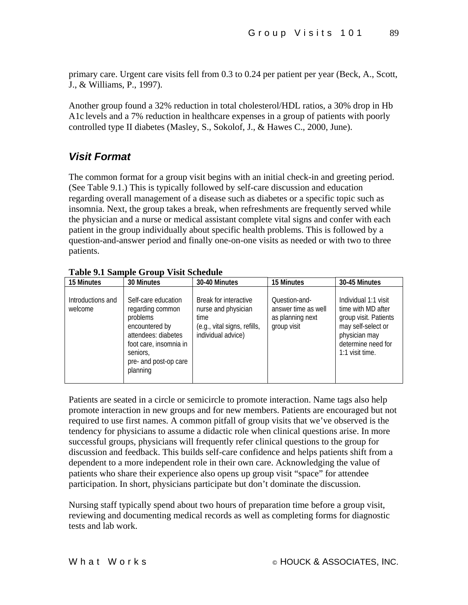primary care. Urgent care visits fell from 0.3 to 0.24 per patient per year (Beck, A., Scott, J., & Williams, P., 1997).

Another group found a 32% reduction in total cholesterol/HDL ratios, a 30% drop in Hb A1c levels and a 7% reduction in healthcare expenses in a group of patients with poorly controlled type II diabetes (Masley, S., Sokolof, J., & Hawes C., 2000, June).

#### *Visit Format*

The common format for a group visit begins with an initial check-in and greeting period. (See Table 9.1.) This is typically followed by self-care discussion and education regarding overall management of a disease such as diabetes or a specific topic such as insomnia. Next, the group takes a break, when refreshments are frequently served while the physician and a nurse or medical assistant complete vital signs and confer with each patient in the group individually about specific health problems. This is followed by a question-and-answer period and finally one-on-one visits as needed or with two to three patients.

| 15 Minutes                   | 30 Minutes                                                                                                                                                              | 30-40 Minutes                                                                                              | 15 Minutes                                                              | 30-45 Minutes                                                                                                                                       |
|------------------------------|-------------------------------------------------------------------------------------------------------------------------------------------------------------------------|------------------------------------------------------------------------------------------------------------|-------------------------------------------------------------------------|-----------------------------------------------------------------------------------------------------------------------------------------------------|
| Introductions and<br>welcome | Self-care education<br>regarding common<br>problems<br>encountered by<br>attendees: diabetes<br>foot care, insomnia in<br>seniors.<br>pre- and post-op care<br>planning | Break for interactive<br>nurse and physician<br>time<br>(e.g., vital signs, refills,<br>individual advice) | Ouestion-and-<br>answer time as well<br>as planning next<br>group visit | Individual 1:1 visit<br>time with MD after<br>group visit. Patients<br>may self-select or<br>physician may<br>determine need for<br>1:1 visit time. |

**Table 9.1 Sample Group Visit Schedule** 

Patients are seated in a circle or semicircle to promote interaction. Name tags also help promote interaction in new groups and for new members. Patients are encouraged but not required to use first names. A common pitfall of group visits that we've observed is the tendency for physicians to assume a didactic role when clinical questions arise. In more successful groups, physicians will frequently refer clinical questions to the group for discussion and feedback. This builds self-care confidence and helps patients shift from a dependent to a more independent role in their own care. Acknowledging the value of patients who share their experience also opens up group visit "space" for attendee participation. In short, physicians participate but don't dominate the discussion.

Nursing staff typically spend about two hours of preparation time before a group visit, reviewing and documenting medical records as well as completing forms for diagnostic tests and lab work.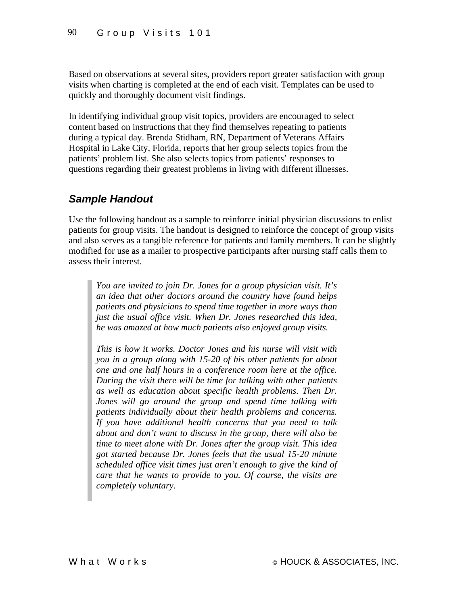Based on observations at several sites, providers report greater satisfaction with group visits when charting is completed at the end of each visit. Templates can be used to quickly and thoroughly document visit findings.

In identifying individual group visit topics, providers are encouraged to select content based on instructions that they find themselves repeating to patients during a typical day. Brenda Stidham, RN, Department of Veterans Affairs Hospital in Lake City, Florida, reports that her group selects topics from the patients' problem list. She also selects topics from patients' responses to questions regarding their greatest problems in living with different illnesses.

#### *Sample Handout*

Use the following handout as a sample to reinforce initial physician discussions to enlist patients for group visits. The handout is designed to reinforce the concept of group visits and also serves as a tangible reference for patients and family members. It can be slightly modified for use as a mailer to prospective participants after nursing staff calls them to assess their interest.

*You are invited to join Dr. Jones for a group physician visit. It's an idea that other doctors around the country have found helps patients and physicians to spend time together in more ways than just the usual office visit. When Dr. Jones researched this idea, he was amazed at how much patients also enjoyed group visits.* 

*This is how it works. Doctor Jones and his nurse will visit with you in a group along with 15-20 of his other patients for about one and one half hours in a conference room here at the office. During the visit there will be time for talking with other patients as well as education about specific health problems. Then Dr. Jones will go around the group and spend time talking with patients individually about their health problems and concerns. If you have additional health concerns that you need to talk about and don't want to discuss in the group, there will also be time to meet alone with Dr. Jones after the group visit. This idea got started because Dr. Jones feels that the usual 15-20 minute scheduled office visit times just aren't enough to give the kind of care that he wants to provide to you. Of course, the visits are completely voluntary.*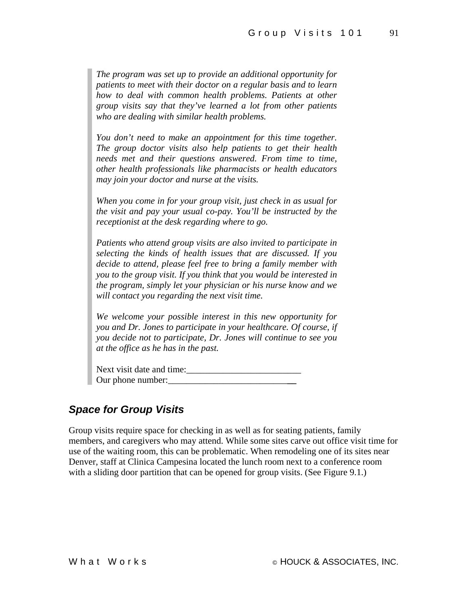*The program was set up to provide an additional opportunity for patients to meet with their doctor on a regular basis and to learn how to deal with common health problems. Patients at other group visits say that they've learned a lot from other patients who are dealing with similar health problems.* 

*You don't need to make an appointment for this time together. The group doctor visits also help patients to get their health needs met and their questions answered. From time to time, other health professionals like pharmacists or health educators may join your doctor and nurse at the visits.* 

*When you come in for your group visit, just check in as usual for the visit and pay your usual co-pay. You'll be instructed by the receptionist at the desk regarding where to go.* 

*Patients who attend group visits are also invited to participate in selecting the kinds of health issues that are discussed. If you decide to attend, please feel free to bring a family member with you to the group visit. If you think that you would be interested in the program, simply let your physician or his nurse know and we will contact you regarding the next visit time.* 

*We welcome your possible interest in this new opportunity for you and Dr. Jones to participate in your healthcare. Of course, if you decide not to participate, Dr. Jones will continue to see you at the office as he has in the past.* 

Next visit date and time:\_\_\_\_\_\_\_\_\_\_\_\_\_\_\_\_\_\_\_\_\_\_\_\_\_ Our phone number:

#### *Space for Group Visits*

Group visits require space for checking in as well as for seating patients, family members, and caregivers who may attend. While some sites carve out office visit time for use of the waiting room, this can be problematic. When remodeling one of its sites near Denver, staff at Clinica Campesina located the lunch room next to a conference room with a sliding door partition that can be opened for group visits. (See Figure 9.1.)